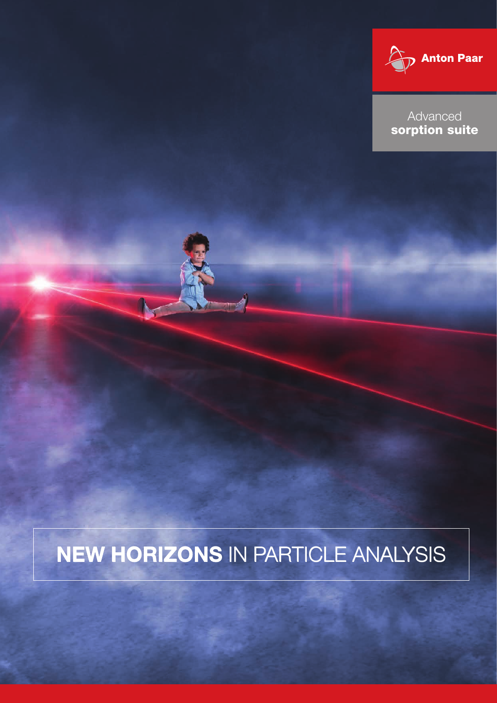

Advanced<br> **Product and Advanced** sorption suite

## NEW HORIZONS IN PARTICLE ANALYSIS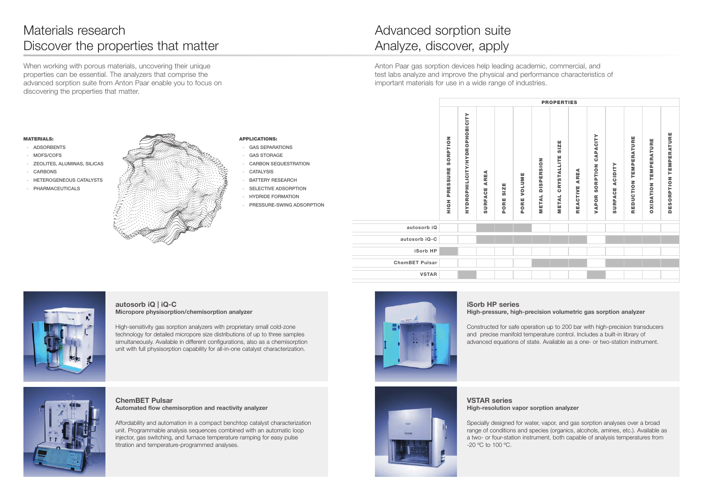#### APPLICATIONS:

- GAS SEPARATIONS
- **GAS STORAGE**
- CARBON SEQUESTRATION
- **CATALYSIS**
- BATTERY RESEARCH
- SELECTIVE ADSORPTION
- HYDRIDE FORMATION
- PRESSURE-SWING ADSORPTION

#### MATERIALS:

- ADSORBENTS
- MOFS/COFS
- ZEOLITES, ALUMINAS, SILICAS
- CARBONS
- HETEROGENEOUS CATALYSTS
- PHARMACEUTICALS

When working with porous materials, uncovering their unique properties can be essential. The analyzers that comprise the advanced sorption suite from Anton Paar enable you to focus on discovering the properties that matter.

Anton Paar gas sorption devices help leading academic, commercial, and test labs analyze and improve the physical and performance characteristics of important materials for use in a wide range of industries.

ChemBET Pulsar Automated flow chemisorption and reactivity analyzer

Affordability and automation in a compact benchtop catalyst characterization unit. Programmable analysis sequences combined with an automatic loop injector, gas switching, and furnace temperature ramping for easy pulse titration and temperature-programmed analyses.



### VSTAR series High-resolution vapor sorption analyzer

Specially designed for water, vapor, and gas sorption analyses over a broad range of conditions and species (organics, alcohols, amines, etc.). Available as a two- or four-station instrument, both capable of analysis temperatures from -20 ºC to 100 ºC.

autosorb iQ | iQ-C Micropore physisorption/chemisorption analyzer

High-sensitivity gas sorption analyzers with proprietary small cold-zone technology for detailed micropore size distributions of up to three samples simultaneously. Available in different configurations, also as a chemisorption unit with full physisorption capability for all-in-one catalyst characterization.



### iSorb HP series High-pressure, high-precision volumetric gas sorption analyzer

Constructed for safe operation up to 200 bar with high-precision transducers and precise manifold temperature control. Includes a built-in library of advanced equations of state. Available as a one- or two-station instrument.





|                       | PRESSURE SORPTION<br>HOH | HYDROPHILICITY/HYDROPHOBICITY | AREA<br>SURFACE | SIZE<br>PORE | <b>VOLUME</b><br>PORE |  |
|-----------------------|--------------------------|-------------------------------|-----------------|--------------|-----------------------|--|
| autosorb iQ           |                          |                               |                 |              |                       |  |
| autosorb iQ-C         |                          |                               |                 |              |                       |  |
| iSorb HP              |                          |                               |                 |              |                       |  |
| <b>ChemBET Pulsar</b> |                          |                               |                 |              |                       |  |
| <b>VSTAR</b>          |                          |                               |                 |              |                       |  |



### Materials research Discover the properties that matter

### Advanced sorption suite Analyze, discover, apply